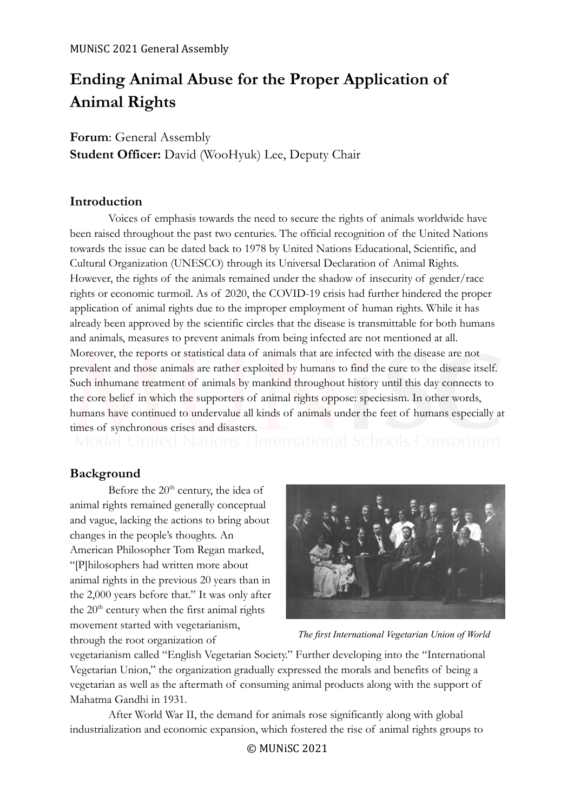# **Ending Animal Abuse for the Proper Application of Animal Rights**

**Forum**: General Assembly **Student Officer:** David (WooHyuk) Lee, Deputy Chair

# **Introduction**

Voices of emphasis towards the need to secure the rights of animals worldwide have been raised throughout the past two centuries. The official recognition of the United Nations towards the issue can be dated back to 1978 by United Nations Educational, Scientific, and Cultural Organization (UNESCO) through its Universal Declaration of Animal Rights. However, the rights of the animals remained under the shadow of insecurity of gender/race rights or economic turmoil. As of 2020, the COVID-19 crisis had further hindered the proper application of animal rights due to the improper employment of human rights. While it has already been approved by the scientific circles that the disease is transmittable for both humans and animals, measures to prevent animals from being infected are not mentioned at all. Moreover, the reports or statistical data of animals that are infected with the disease are not prevalent and those animals are rather exploited by humans to find the cure to the disease itself. Such inhumane treatment of animals by mankind throughout history until this day connects to the core belief in which the supporters of animal rights oppose: speciesism. In other words, humans have continued to undervalue all kinds of animals under the feet of humans especially at

times of synchronous crises and disasters.<br>Model United Nations | International Schools Consortium

# **Background**

Before the  $20<sup>th</sup>$  century, the idea of animal rights remained generally conceptual and vague, lacking the actions to bring about changes in the people's thoughts. An American Philosopher Tom Regan marked, "[P]hilosophers had written more about animal rights in the previous 20 years than in the 2,000 years before that." It was only after the  $20<sup>th</sup>$  century when the first animal rights movement started with vegetarianism, through the root organization of



*The first International Vegetarian Union of World*

vegetarianism called "English Vegetarian Society." Further developing into the "International Vegetarian Union," the organization gradually expressed the morals and benefits of being a vegetarian as well as the aftermath of consuming animal products along with the support of Mahatma Gandhi in 1931.

After World War II, the demand for animals rose significantly along with global industrialization and economic expansion, which fostered the rise of animal rights groups to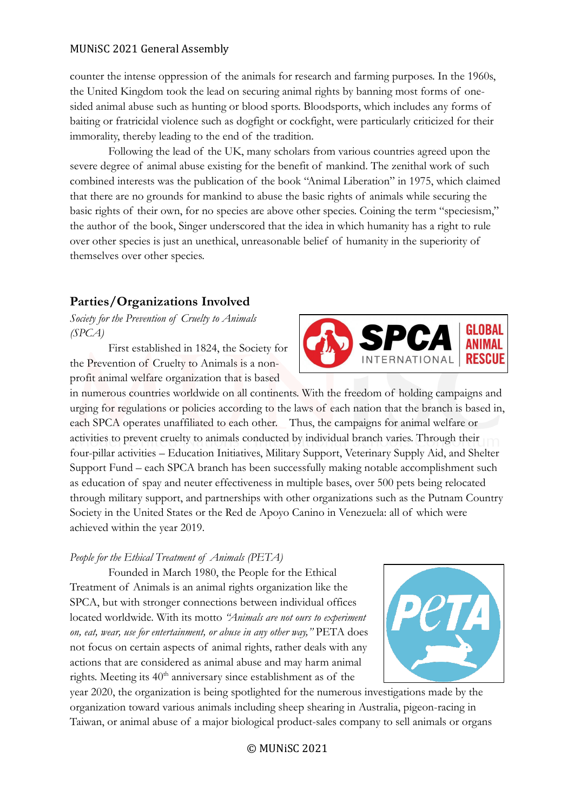counter the intense oppression of the animals for research and farming purposes. In the 1960s, the United Kingdom took the lead on securing animal rights by banning most forms of onesided animal abuse such as hunting or blood sports. Bloodsports, which includes any forms of baiting or fratricidal violence such as dogfight or cockfight, were particularly criticized for their immorality, thereby leading to the end of the tradition.

Following the lead of the UK, many scholars from various countries agreed upon the severe degree of animal abuse existing for the benefit of mankind. The zenithal work of such combined interests was the publication of the book "Animal Liberation" in 1975, which claimed that there are no grounds for mankind to abuse the basic rights of animals while securing the basic rights of their own, for no species are above other species. Coining the term "speciesism," the author of the book, Singer underscored that the idea in which humanity has a right to rule over other species is just an unethical, unreasonable belief of humanity in the superiority of themselves over other species.

# **Parties/Organizations Involved**

*Society for the Prevention of Cruelty to Animals (SPCA)*

First established in 1824, the Society for the Prevention of Cruelty to Animals is a nonprofit animal welfare organization that is based

in numerous countries worldwide on all continents. With the freedom of holding campaigns and urging for regulations or policies according to the laws of each nation that the branch is based in, each SPCA operates unaffiliated to each other. Thus, the campaigns for animal welfare or activities to prevent cruelty to animals conducted by individual branch varies. Through their four-pillar activities – Education Initiatives, Military Support, Veterinary Supply Aid, and Shelter Support Fund – each SPCA branch has been successfully making notable accomplishment such as education of spay and neuter effectiveness in multiple bases, over 500 pets being relocated through military support, and partnerships with other organizations such as the Putnam Country Society in the United States or the Red de Apoyo Canino in Venezuela: all of which were achieved within the year 2019.

#### *People for the Ethical Treatment of Animals (PETA)*

Founded in March 1980, the People for the Ethical Treatment of Animals is an animal rights organization like the SPCA, but with stronger connections between individual offices located worldwide. With its motto *"Animals are not ours to experiment on, eat, wear, use for entertainment, or abuse in any other way,"* PETA does not focus on certain aspects of animal rights, rather deals with any actions that are considered as animal abuse and may harm animal rights. Meeting its  $40<sup>th</sup>$  anniversary since establishment as of the

year 2020, the organization is being spotlighted for the numerous investigations made by the organization toward various animals including sheep shearing in Australia, pigeon-racing in Taiwan, or animal abuse of a major biological product-sales company to sell animals or organs



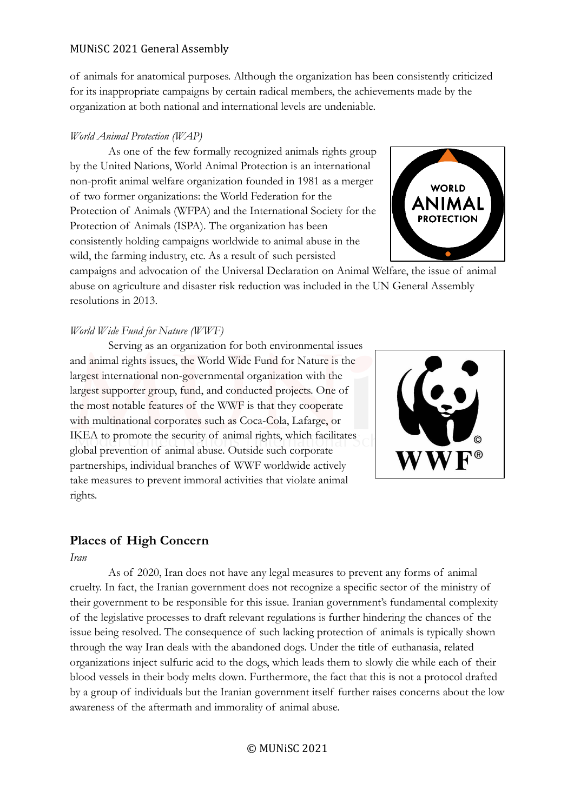of animals for anatomical purposes. Although the organization has been consistently criticized for its inappropriate campaigns by certain radical members, the achievements made by the organization at both national and international levels are undeniable.

### *World Animal Protection (WAP)*

As one of the few formally recognized animals rights group by the United Nations, World Animal Protection is an international non-profit animal welfare organization founded in 1981 as a merger of two former organizations: the World Federation for the Protection of Animals (WFPA) and the International Society for the Protection of Animals (ISPA). The organization has been consistently holding campaigns worldwide to animal abuse in the wild, the farming industry, etc. As a result of such persisted



campaigns and advocation of the Universal Declaration on Animal Welfare, the issue of animal abuse on agriculture and disaster risk reduction was included in the UN General Assembly resolutions in 2013.

#### *World Wide Fund for Nature (WWF)*

Serving as an organization for both environmental issues and animal rights issues, the World Wide Fund for Nature is the largest international non-governmental organization with the largest supporter group, fund, and conducted projects. One of the most notable features of the WWF is that they cooperate with multinational corporates such as Coca-Cola, Lafarge, or IKEA to promote the security of animal rights, which facilitates global prevention of animal abuse. Outside such corporate partnerships, individual branches of WWF worldwide actively take measures to prevent immoral activities that violate animal rights.



# **Places of High Concern**

*Iran*

As of 2020, Iran does not have any legal measures to prevent any forms of animal cruelty. In fact, the Iranian government does not recognize a specific sector of the ministry of their government to be responsible for this issue. Iranian government's fundamental complexity of the legislative processes to draft relevant regulations is further hindering the chances of the issue being resolved. The consequence of such lacking protection of animals is typically shown through the way Iran deals with the abandoned dogs. Under the title of euthanasia, related organizations inject sulfuric acid to the dogs, which leads them to slowly die while each of their blood vessels in their body melts down. Furthermore, the fact that this is not a protocol drafted by a group of individuals but the Iranian government itself further raises concerns about the low awareness of the aftermath and immorality of animal abuse.

© MUNiSC 2021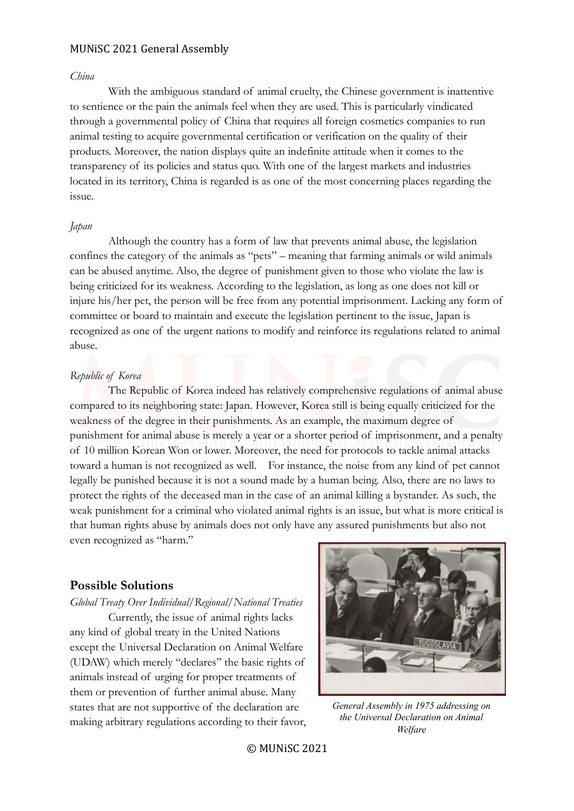#### *China*

With the ambiguous standard of animal cruelty, the Chinese government is inattentive to sentience or the pain the animals feel when they are used. This is particularly vindicated through a governmental policy of China that requires all foreign cosmetics companies to run animal testing to acquire governmental certification or verification on the quality of their products. Moreover, the nation displays quite an indefinite attitude when it comes to the transparency of its policies and status quo. With one of the largest markets and industries located in its territory, China is regarded is as one of the most concerning places regarding the issue.

#### *Japan*

Although the country has a form of law that prevents animal abuse, the legislation confines the category of the animals as "pets" – meaning that farming animals or wild animals can be abused anytime. Also, the degree of punishment given to those who violate the law is being criticized for its weakness. According to the legislation, as long as one does not kill or injure his/her pet, the person will be free from any potential imprisonment. Lacking any form of committee or board to maintain and execute the legislation pertinent to the issue, Japan is recognized as one of the urgent nations to modify and reinforce its regulations related to animal abuse.

#### *Republic of Korea*

The Republic of Korea indeed has relatively comprehensive regulations of animal abuse compared to its neighboring state: Japan. However, Korea still is being equally criticized for the weakness of the degree in their punishments. As an example, the maximum degree of punishment for animal abuse is merely a year or a shorter period of imprisonment, and a penalty of 10 million Korean Won or lower. Moreover, the need for protocols to tackle animal attacks toward a human is not recognized as well. For instance, the noise from any kind of pet cannot legally be punished because it is not a sound made by a human being. Also, there are no laws to protect the rights of the deceased man in the case of an animal killing a bystander. As such, the weak punishment for a criminal who violated animal rights is an issue, but what is more critical is that human rights abuse by animals does not only have any assured punishments but also not even recognized as "harm."

## **Possible Solutions**

#### *Global Treaty Over Individual/Regional/National Treaties*

Currently, the issue of animal rights lacks any kind of global treaty in the United Nations except the Universal Declaration on Animal Welfare (UDAW) which merely "declares" the basic rights of animals instead of urging for proper treatments of them or prevention of further animal abuse. Many states that are not supportive of the declaration are making arbitrary regulations according to their favor,



*General Assembly in 1975 addressing on the Universal Declaration on Animal Welfare*

© MUNiSC 2021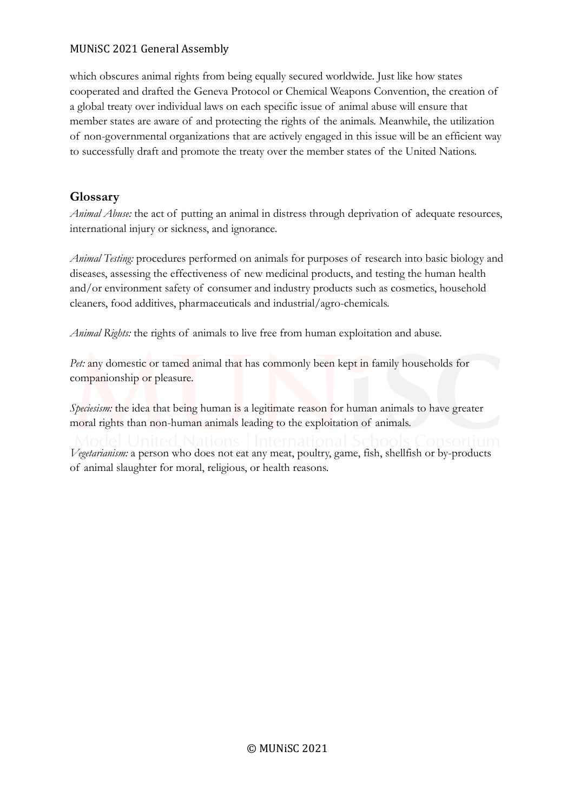which obscures animal rights from being equally secured worldwide. Just like how states cooperated and drafted the Geneva Protocol or Chemical Weapons Convention, the creation of a global treaty over individual laws on each specific issue of animal abuse will ensure that member states are aware of and protecting the rights of the animals. Meanwhile, the utilization of non-governmental organizations that are actively engaged in this issue will be an efficient way to successfully draft and promote the treaty over the member states of the United Nations.

# **Glossary**

*Animal Abuse:* the act of putting an animal in distress through deprivation of adequate resources, international injury or sickness, and ignorance.

*Animal Testing:* procedures performed on animals for purposes of research into basic biology and diseases, assessing the effectiveness of new medicinal products, and testing the human health and/or environment safety of consumer and industry products such as cosmetics, household cleaners, food additives, pharmaceuticals and industrial/agro-chemicals.

*Animal Rights:* the rights of animals to live free from human exploitation and abuse.

*Pet:* any domestic or tamed animal that has commonly been kept in family households for companionship or pleasure.

*Speciesism:* the idea that being human is a legitimate reason for human animals to have greater moral rights than non-human animals leading to the exploitation of animals.

*Vegetarianism:* a person who does not eat any meat, poultry, game, fish, shellfish or by-products of animal slaughter for moral, religious, or health reasons.